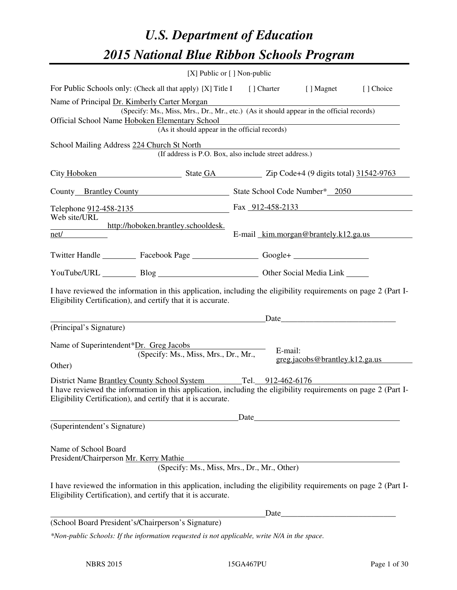# *U.S. Department of Education 2015 National Blue Ribbon Schools Program*

| $[X]$ Public or $[ ]$ Non-public                                                                                                                                                                                                                |      |         |                                                                                                                                                                                                                               |           |
|-------------------------------------------------------------------------------------------------------------------------------------------------------------------------------------------------------------------------------------------------|------|---------|-------------------------------------------------------------------------------------------------------------------------------------------------------------------------------------------------------------------------------|-----------|
| For Public Schools only: (Check all that apply) [X] Title I [] Charter [] Magnet                                                                                                                                                                |      |         |                                                                                                                                                                                                                               | [] Choice |
| Name of Principal Dr. Kimberly Carter Morgan<br>(Specify: Ms., Miss, Mrs., Dr., Mr., etc.) (As it should appear in the official records)<br>Official School Name Hoboken Elementary School<br>(As it should appear in the official records)     |      |         |                                                                                                                                                                                                                               |           |
| School Mailing Address 224 Church St North<br>(If address is P.O. Box, also include street address.)                                                                                                                                            |      |         |                                                                                                                                                                                                                               |           |
| City Hoboken State GA Zip Code+4 (9 digits total) 31542-9763                                                                                                                                                                                    |      |         |                                                                                                                                                                                                                               |           |
| County Brantley County State School Code Number* 2050                                                                                                                                                                                           |      |         |                                                                                                                                                                                                                               |           |
| Telephone 912-458-2135<br>Web site/URL<br>http://hoboken.brantley.schooldesk.                                                                                                                                                                   |      |         | Fax 912-458-2133                                                                                                                                                                                                              |           |
| net/                                                                                                                                                                                                                                            |      |         | E-mail kim.morgan@brantely.k12.ga.us                                                                                                                                                                                          |           |
| Twitter Handle ___________ Facebook Page __________________ Google+ ____________                                                                                                                                                                |      |         |                                                                                                                                                                                                                               |           |
| YouTube/URL Blog Blog Discount Cher Social Media Link                                                                                                                                                                                           |      |         |                                                                                                                                                                                                                               |           |
| I have reviewed the information in this application, including the eligibility requirements on page 2 (Part I-<br>Eligibility Certification), and certify that it is accurate.                                                                  |      |         | Date and the same state of the state of the state of the state of the state of the state of the state of the state of the state of the state of the state of the state of the state of the state of the state of the state of |           |
| (Principal's Signature)                                                                                                                                                                                                                         |      |         |                                                                                                                                                                                                                               |           |
| Name of Superintendent*Dr. Greg Jacobs<br>(Specify: Ms., Miss, Mrs., Dr., Mr.,<br>Other)                                                                                                                                                        |      | E-mail: | greg.jacob@brantley.k12.ga.us                                                                                                                                                                                                 |           |
| District Name Brantley County School System Tel. 912-462-6176<br>I have reviewed the information in this application, including the eligibility requirements on page 2 (Part I-<br>Eligibility Certification), and certify that it is accurate. |      |         |                                                                                                                                                                                                                               |           |
|                                                                                                                                                                                                                                                 | Date |         | <u> 1980 - Andrea Station Barbara, politik eta politik eta politik eta politik eta politik eta politik eta politi</u>                                                                                                         |           |
| (Superintendent's Signature)                                                                                                                                                                                                                    |      |         |                                                                                                                                                                                                                               |           |
| Name of School Board<br>President/Chairperson Mr. Kerry Mathie<br>(Specify: Ms., Miss, Mrs., Dr., Mr., Other)                                                                                                                                   |      |         |                                                                                                                                                                                                                               |           |
| I have reviewed the information in this application, including the eligibility requirements on page 2 (Part I-<br>Eligibility Certification), and certify that it is accurate.                                                                  |      |         |                                                                                                                                                                                                                               |           |
|                                                                                                                                                                                                                                                 |      | Date    | <u> 1989 - Johann Barn, mars ann an t-Amhain Aonaich an t-Aonaich an t-Aonaich an t-Aonaich an t-Aonaich an t-Aon</u>                                                                                                         |           |
| (School Board President's/Chairperson's Signature)                                                                                                                                                                                              |      |         |                                                                                                                                                                                                                               |           |
| *Non-public Schools: If the information requested is not applicable, write N/A in the space.                                                                                                                                                    |      |         |                                                                                                                                                                                                                               |           |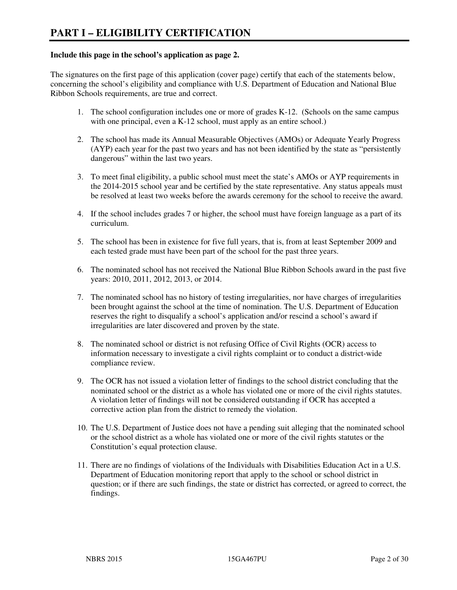#### **Include this page in the school's application as page 2.**

The signatures on the first page of this application (cover page) certify that each of the statements below, concerning the school's eligibility and compliance with U.S. Department of Education and National Blue Ribbon Schools requirements, are true and correct.

- 1. The school configuration includes one or more of grades K-12. (Schools on the same campus with one principal, even a K-12 school, must apply as an entire school.)
- 2. The school has made its Annual Measurable Objectives (AMOs) or Adequate Yearly Progress (AYP) each year for the past two years and has not been identified by the state as "persistently dangerous" within the last two years.
- 3. To meet final eligibility, a public school must meet the state's AMOs or AYP requirements in the 2014-2015 school year and be certified by the state representative. Any status appeals must be resolved at least two weeks before the awards ceremony for the school to receive the award.
- 4. If the school includes grades 7 or higher, the school must have foreign language as a part of its curriculum.
- 5. The school has been in existence for five full years, that is, from at least September 2009 and each tested grade must have been part of the school for the past three years.
- 6. The nominated school has not received the National Blue Ribbon Schools award in the past five years: 2010, 2011, 2012, 2013, or 2014.
- 7. The nominated school has no history of testing irregularities, nor have charges of irregularities been brought against the school at the time of nomination. The U.S. Department of Education reserves the right to disqualify a school's application and/or rescind a school's award if irregularities are later discovered and proven by the state.
- 8. The nominated school or district is not refusing Office of Civil Rights (OCR) access to information necessary to investigate a civil rights complaint or to conduct a district-wide compliance review.
- 9. The OCR has not issued a violation letter of findings to the school district concluding that the nominated school or the district as a whole has violated one or more of the civil rights statutes. A violation letter of findings will not be considered outstanding if OCR has accepted a corrective action plan from the district to remedy the violation.
- 10. The U.S. Department of Justice does not have a pending suit alleging that the nominated school or the school district as a whole has violated one or more of the civil rights statutes or the Constitution's equal protection clause.
- 11. There are no findings of violations of the Individuals with Disabilities Education Act in a U.S. Department of Education monitoring report that apply to the school or school district in question; or if there are such findings, the state or district has corrected, or agreed to correct, the findings.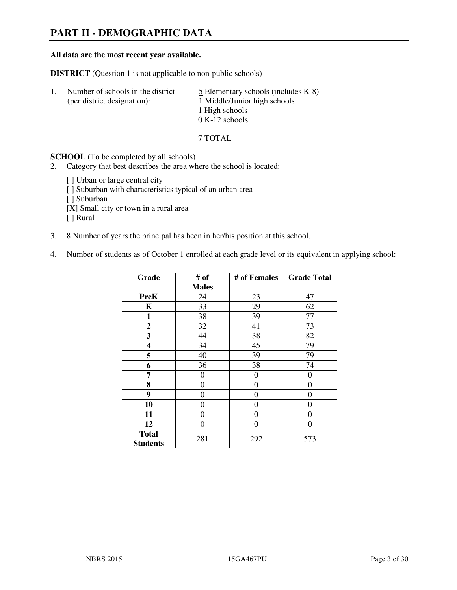# **PART II - DEMOGRAPHIC DATA**

#### **All data are the most recent year available.**

**DISTRICT** (Question 1 is not applicable to non-public schools)

| -1. | Number of schools in the district<br>(per district designation): | $\overline{5}$ Elementary schools (includes K-8)<br>1 Middle/Junior high schools<br>1 High schools<br>$0 K-12$ schools |
|-----|------------------------------------------------------------------|------------------------------------------------------------------------------------------------------------------------|
|     |                                                                  |                                                                                                                        |

7 TOTAL

**SCHOOL** (To be completed by all schools)

2. Category that best describes the area where the school is located:

[] Urban or large central city [ ] Suburban with characteristics typical of an urban area [ ] Suburban [X] Small city or town in a rural area [ ] Rural

- 3.  $8$  Number of years the principal has been in her/his position at this school.
- 4. Number of students as of October 1 enrolled at each grade level or its equivalent in applying school:

| Grade                           | # of         | # of Females   | <b>Grade Total</b> |
|---------------------------------|--------------|----------------|--------------------|
|                                 | <b>Males</b> |                |                    |
| <b>PreK</b>                     | 24           | 23             | 47                 |
| K                               | 33           | 29             | 62                 |
| 1                               | 38           | 39             | 77                 |
| $\boldsymbol{2}$                | 32           | 41             | 73                 |
| 3                               | 44           | 38             | 82                 |
| 4                               | 34           | 45             | 79                 |
| 5                               | 40           | 39             | 79                 |
| 6                               | 36           | 38             | 74                 |
| 7                               | 0            | $\overline{0}$ | 0                  |
| 8                               | 0            | $\overline{0}$ | 0                  |
| 9                               | $\theta$     | $\overline{0}$ | 0                  |
| 10                              | 0            | 0              | 0                  |
| 11                              | 0            | 0              | 0                  |
| 12                              | 0            | 0              | 0                  |
| <b>Total</b><br><b>Students</b> | 281          | 292            | 573                |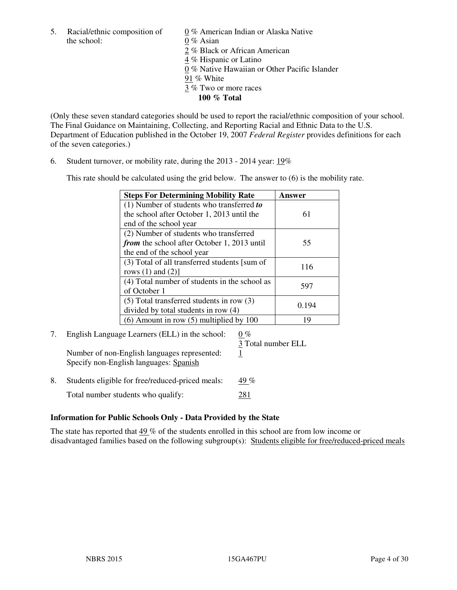5. Racial/ethnic composition of  $0\%$  American Indian or Alaska Native the school: 0 % Asian

 2 % Black or African American 4 % Hispanic or Latino 0 % Native Hawaiian or Other Pacific Islander 91 % White 3 % Two or more races **100 % Total** 

(Only these seven standard categories should be used to report the racial/ethnic composition of your school. The Final Guidance on Maintaining, Collecting, and Reporting Racial and Ethnic Data to the U.S. Department of Education published in the October 19, 2007 *Federal Register* provides definitions for each of the seven categories.)

6. Student turnover, or mobility rate, during the 2013 - 2014 year: 19%

This rate should be calculated using the grid below. The answer to (6) is the mobility rate.

| <b>Steps For Determining Mobility Rate</b>    | Answer |  |
|-----------------------------------------------|--------|--|
| $(1)$ Number of students who transferred to   |        |  |
| the school after October 1, 2013 until the    | 61     |  |
| end of the school year                        |        |  |
| (2) Number of students who transferred        |        |  |
| from the school after October 1, 2013 until   | 55     |  |
| the end of the school year                    |        |  |
| (3) Total of all transferred students [sum of | 116    |  |
| rows $(1)$ and $(2)$ ]                        |        |  |
| (4) Total number of students in the school as | 597    |  |
| of October 1                                  |        |  |
| $(5)$ Total transferred students in row $(3)$ |        |  |
| 0.194<br>divided by total students in row (4) |        |  |
| $(6)$ Amount in row $(5)$ multiplied by 100   | 19     |  |

#### 7. English Language Learners (ELL) in the school:  $0\%$ 3 Total number ELL

Number of non-English languages represented: 1 Specify non-English languages: Spanish

8. Students eligible for free/reduced-priced meals:  $49\%$ Total number students who qualify: 281

#### **Information for Public Schools Only - Data Provided by the State**

The state has reported that 49 % of the students enrolled in this school are from low income or disadvantaged families based on the following subgroup(s): Students eligible for free/reduced-priced meals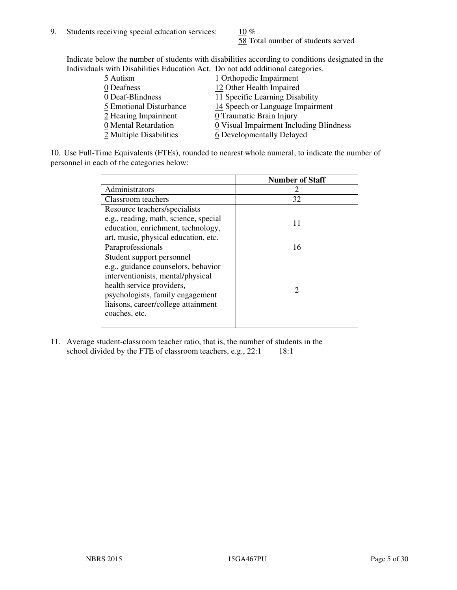58 Total number of students served

Indicate below the number of students with disabilities according to conditions designated in the Individuals with Disabilities Education Act. Do not add additional categories.

| 5 Autism                | 1 Orthopedic Impairment                 |
|-------------------------|-----------------------------------------|
| 0 Deafness              | 12 Other Health Impaired                |
| 0 Deaf-Blindness        | 11 Specific Learning Disability         |
| 5 Emotional Disturbance | 14 Speech or Language Impairment        |
| 2 Hearing Impairment    | 0 Traumatic Brain Injury                |
| 0 Mental Retardation    | 0 Visual Impairment Including Blindness |
| 2 Multiple Disabilities | 6 Developmentally Delayed               |
|                         |                                         |

10. Use Full-Time Equivalents (FTEs), rounded to nearest whole numeral, to indicate the number of personnel in each of the categories below:

|                                       | <b>Number of Staff</b>      |
|---------------------------------------|-----------------------------|
| Administrators                        |                             |
| Classroom teachers                    | 32                          |
| Resource teachers/specialists         |                             |
| e.g., reading, math, science, special | 11                          |
| education, enrichment, technology,    |                             |
| art, music, physical education, etc.  |                             |
| Paraprofessionals                     | 16                          |
| Student support personnel             |                             |
| e.g., guidance counselors, behavior   |                             |
| interventionists, mental/physical     |                             |
| health service providers,             | $\mathcal{D}_{\mathcal{A}}$ |
| psychologists, family engagement      |                             |
| liaisons, career/college attainment   |                             |
| coaches, etc.                         |                             |
|                                       |                             |

11. Average student-classroom teacher ratio, that is, the number of students in the school divided by the FTE of classroom teachers, e.g.,  $22:1$  18:1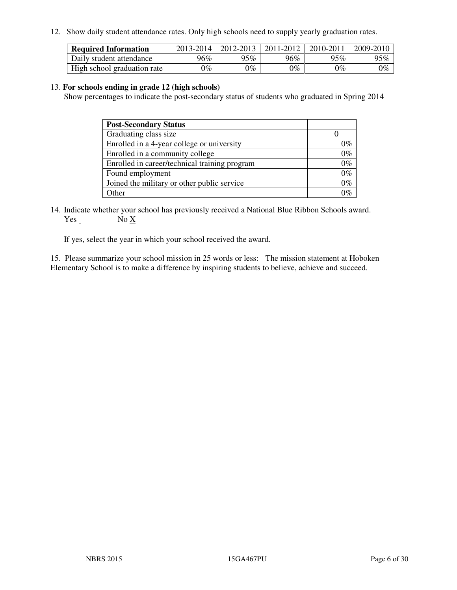12. Show daily student attendance rates. Only high schools need to supply yearly graduation rates.

| <b>Required Information</b> | 2013-2014     | 2012-2013       | 2011-2012 | 2010-2011 | 2009-2010 |
|-----------------------------|---------------|-----------------|-----------|-----------|-----------|
| Daily student attendance    | 96%           | $95\%$          | 96%       | 95%       | 95%       |
| High school graduation rate | $\gamma_{\%}$ | $\mathcal{V}_o$ | $0\%$     | 0%        | 0%        |

#### 13. **For schools ending in grade 12 (high schools)**

Show percentages to indicate the post-secondary status of students who graduated in Spring 2014

| <b>Post-Secondary Status</b>                  |       |
|-----------------------------------------------|-------|
| Graduating class size                         |       |
| Enrolled in a 4-year college or university    | በ‰    |
| Enrolled in a community college               | $0\%$ |
| Enrolled in career/technical training program | $0\%$ |
| Found employment                              | $0\%$ |
| Joined the military or other public service   | 0%    |
| Other                                         |       |

14. Indicate whether your school has previously received a National Blue Ribbon Schools award. Yes No X

If yes, select the year in which your school received the award.

15. Please summarize your school mission in 25 words or less: The mission statement at Hoboken Elementary School is to make a difference by inspiring students to believe, achieve and succeed.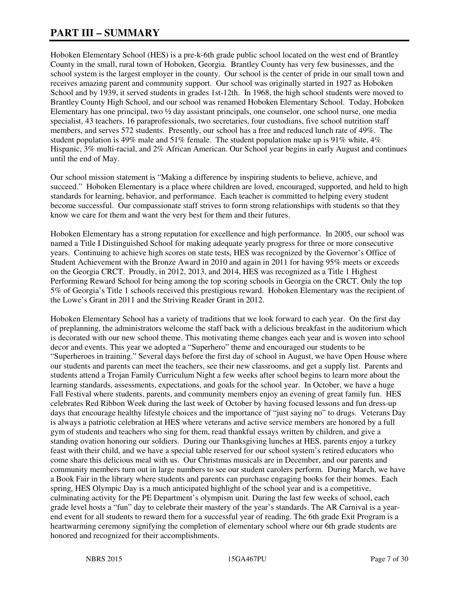# **PART III – SUMMARY**

Hoboken Elementary School (HES) is a pre-k-6th grade public school located on the west end of Brantley County in the small, rural town of Hoboken, Georgia. Brantley County has very few businesses, and the school system is the largest employer in the county. Our school is the center of pride in our small town and receives amazing parent and community support. Our school was originally started in 1927 as Hoboken School and by 1939, it served students in grades 1st-12th. In 1968, the high school students were moved to Brantley County High School, and our school was renamed Hoboken Elementary School. Today, Hoboken Elementary has one principal, two ½ day assistant principals, one counselor, one school nurse, one media specialist, 43 teachers, 16 paraprofessionals, two secretaries, four custodians, five school nutrition staff members, and serves 572 students. Presently, our school has a free and reduced lunch rate of 49%. The student population is 49% male and 51% female. The student population make up is 91% white,  $4\%$ Hispanic, 3% multi-racial, and 2% African American. Our School year begins in early August and continues until the end of May.

Our school mission statement is "Making a difference by inspiring students to believe, achieve, and succeed." Hoboken Elementary is a place where children are loved, encouraged, supported, and held to high standards for learning, behavior, and performance. Each teacher is committed to helping every student become successful. Our compassionate staff strives to form strong relationships with students so that they know we care for them and want the very best for them and their futures.

Hoboken Elementary has a strong reputation for excellence and high performance. In 2005, our school was named a Title I Distinguished School for making adequate yearly progress for three or more consecutive years. Continuing to achieve high scores on state tests, HES was recognized by the Governor's Office of Student Achievement with the Bronze Award in 2010 and again in 2011 for having 95% meets or exceeds on the Georgia CRCT. Proudly, in 2012, 2013, and 2014, HES was recognized as a Title 1 Highest Performing Reward School for being among the top scoring schools in Georgia on the CRCT. Only the top 5% of Georgia's Title 1 schools received this prestigious reward. Hoboken Elementary was the recipient of the Lowe's Grant in 2011 and the Striving Reader Grant in 2012.

Hoboken Elementary School has a variety of traditions that we look forward to each year. On the first day of preplanning, the administrators welcome the staff back with a delicious breakfast in the auditorium which is decorated with our new school theme. This motivating theme changes each year and is woven into school decor and events. This year we adopted a "Superhero" theme and encouraged our students to be "Superheroes in training." Several days before the first day of school in August, we have Open House where our students and parents can meet the teachers, see their new classrooms, and get a supply list. Parents and students attend a Trojan Family Curriculum Night a few weeks after school begins to learn more about the learning standards, assessments, expectations, and goals for the school year. In October, we have a huge Fall Festival where students, parents, and community members enjoy an evening of great family fun. HES celebrates Red Ribbon Week during the last week of October by having focused lessons and fun dress-up days that encourage healthy lifestyle choices and the importance of "just saying no" to drugs. Veterans Day is always a patriotic celebration at HES where veterans and active service members are honored by a full gym of students and teachers who sing for them, read thankful essays written by children, and give a standing ovation honoring our soldiers. During our Thanksgiving lunches at HES, parents enjoy a turkey feast with their child, and we have a special table reserved for our school system's retired educators who come share this delicious meal with us. Our Christmas musicals are in December, and our parents and community members turn out in large numbers to see our student carolers perform. During March, we have a Book Fair in the library where students and parents can purchase engaging books for their homes. Each spring, HES Olympic Day is a much anticipated highlight of the school year and is a competitive, culminating activity for the PE Department's olympism unit. During the last few weeks of school, each grade level hosts a "fun" day to celebrate their mastery of the year's standards. The AR Carnival is a yearend event for all students to reward them for a successful year of reading. The 6th grade Exit Program is a heartwarming ceremony signifying the completion of elementary school where our 6th grade students are honored and recognized for their accomplishments.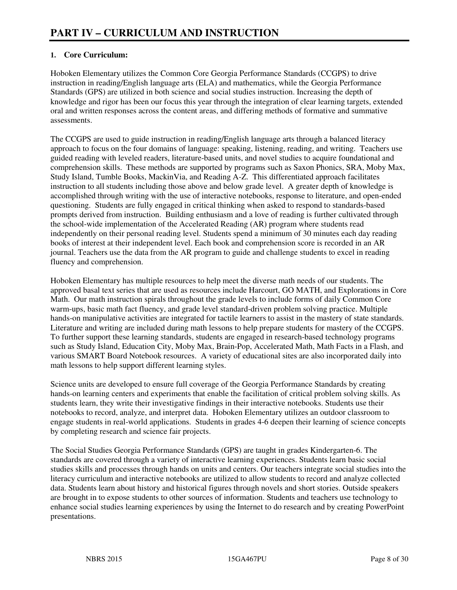### **1. Core Curriculum:**

Hoboken Elementary utilizes the Common Core Georgia Performance Standards (CCGPS) to drive instruction in reading/English language arts (ELA) and mathematics, while the Georgia Performance Standards (GPS) are utilized in both science and social studies instruction. Increasing the depth of knowledge and rigor has been our focus this year through the integration of clear learning targets, extended oral and written responses across the content areas, and differing methods of formative and summative assessments.

The CCGPS are used to guide instruction in reading/English language arts through a balanced literacy approach to focus on the four domains of language: speaking, listening, reading, and writing. Teachers use guided reading with leveled readers, literature-based units, and novel studies to acquire foundational and comprehension skills. These methods are supported by programs such as Saxon Phonics, SRA, Moby Max, Study Island, Tumble Books, MackinVia, and Reading A-Z. This differentiated approach facilitates instruction to all students including those above and below grade level. A greater depth of knowledge is accomplished through writing with the use of interactive notebooks, response to literature, and open-ended questioning. Students are fully engaged in critical thinking when asked to respond to standards-based prompts derived from instruction. Building enthusiasm and a love of reading is further cultivated through the school-wide implementation of the Accelerated Reading (AR) program where students read independently on their personal reading level. Students spend a minimum of 30 minutes each day reading books of interest at their independent level. Each book and comprehension score is recorded in an AR journal. Teachers use the data from the AR program to guide and challenge students to excel in reading fluency and comprehension.

Hoboken Elementary has multiple resources to help meet the diverse math needs of our students. The approved basal text series that are used as resources include Harcourt, GO MATH, and Explorations in Core Math. Our math instruction spirals throughout the grade levels to include forms of daily Common Core warm-ups, basic math fact fluency, and grade level standard-driven problem solving practice. Multiple hands-on manipulative activities are integrated for tactile learners to assist in the mastery of state standards. Literature and writing are included during math lessons to help prepare students for mastery of the CCGPS. To further support these learning standards, students are engaged in research-based technology programs such as Study Island, Education City, Moby Max, Brain-Pop, Accelerated Math, Math Facts in a Flash, and various SMART Board Notebook resources. A variety of educational sites are also incorporated daily into math lessons to help support different learning styles.

Science units are developed to ensure full coverage of the Georgia Performance Standards by creating hands-on learning centers and experiments that enable the facilitation of critical problem solving skills. As students learn, they write their investigative findings in their interactive notebooks. Students use their notebooks to record, analyze, and interpret data. Hoboken Elementary utilizes an outdoor classroom to engage students in real-world applications. Students in grades 4-6 deepen their learning of science concepts by completing research and science fair projects.

The Social Studies Georgia Performance Standards (GPS) are taught in grades Kindergarten-6. The standards are covered through a variety of interactive learning experiences. Students learn basic social studies skills and processes through hands on units and centers. Our teachers integrate social studies into the literacy curriculum and interactive notebooks are utilized to allow students to record and analyze collected data. Students learn about history and historical figures through novels and short stories. Outside speakers are brought in to expose students to other sources of information. Students and teachers use technology to enhance social studies learning experiences by using the Internet to do research and by creating PowerPoint presentations.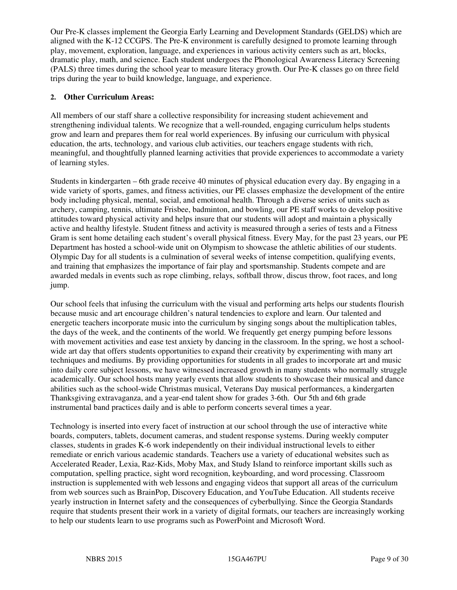Our Pre-K classes implement the Georgia Early Learning and Development Standards (GELDS) which are aligned with the K-12 CCGPS. The Pre-K environment is carefully designed to promote learning through play, movement, exploration, language, and experiences in various activity centers such as art, blocks, dramatic play, math, and science. Each student undergoes the Phonological Awareness Literacy Screening (PALS) three times during the school year to measure literacy growth. Our Pre-K classes go on three field trips during the year to build knowledge, language, and experience.

#### **2. Other Curriculum Areas:**

All members of our staff share a collective responsibility for increasing student achievement and strengthening individual talents. We recognize that a well-rounded, engaging curriculum helps students grow and learn and prepares them for real world experiences. By infusing our curriculum with physical education, the arts, technology, and various club activities, our teachers engage students with rich, meaningful, and thoughtfully planned learning activities that provide experiences to accommodate a variety of learning styles.

Students in kindergarten – 6th grade receive 40 minutes of physical education every day. By engaging in a wide variety of sports, games, and fitness activities, our PE classes emphasize the development of the entire body including physical, mental, social, and emotional health. Through a diverse series of units such as archery, camping, tennis, ultimate Frisbee, badminton, and bowling, our PE staff works to develop positive attitudes toward physical activity and helps insure that our students will adopt and maintain a physically active and healthy lifestyle. Student fitness and activity is measured through a series of tests and a Fitness Gram is sent home detailing each student's overall physical fitness. Every May, for the past 23 years, our PE Department has hosted a school-wide unit on Olympism to showcase the athletic abilities of our students. Olympic Day for all students is a culmination of several weeks of intense competition, qualifying events, and training that emphasizes the importance of fair play and sportsmanship. Students compete and are awarded medals in events such as rope climbing, relays, softball throw, discus throw, foot races, and long jump.

Our school feels that infusing the curriculum with the visual and performing arts helps our students flourish because music and art encourage children's natural tendencies to explore and learn. Our talented and energetic teachers incorporate music into the curriculum by singing songs about the multiplication tables, the days of the week, and the continents of the world. We frequently get energy pumping before lessons with movement activities and ease test anxiety by dancing in the classroom. In the spring, we host a schoolwide art day that offers students opportunities to expand their creativity by experimenting with many art techniques and mediums. By providing opportunities for students in all grades to incorporate art and music into daily core subject lessons, we have witnessed increased growth in many students who normally struggle academically. Our school hosts many yearly events that allow students to showcase their musical and dance abilities such as the school-wide Christmas musical, Veterans Day musical performances, a kindergarten Thanksgiving extravaganza, and a year-end talent show for grades 3-6th. Our 5th and 6th grade instrumental band practices daily and is able to perform concerts several times a year.

Technology is inserted into every facet of instruction at our school through the use of interactive white boards, computers, tablets, document cameras, and student response systems. During weekly computer classes, students in grades K-6 work independently on their individual instructional levels to either remediate or enrich various academic standards. Teachers use a variety of educational websites such as Accelerated Reader, Lexia, Raz-Kids, Moby Max, and Study Island to reinforce important skills such as computation, spelling practice, sight word recognition, keyboarding, and word processing. Classroom instruction is supplemented with web lessons and engaging videos that support all areas of the curriculum from web sources such as BrainPop, Discovery Education, and YouTube Education. All students receive yearly instruction in Internet safety and the consequences of cyberbullying. Since the Georgia Standards require that students present their work in a variety of digital formats, our teachers are increasingly working to help our students learn to use programs such as PowerPoint and Microsoft Word.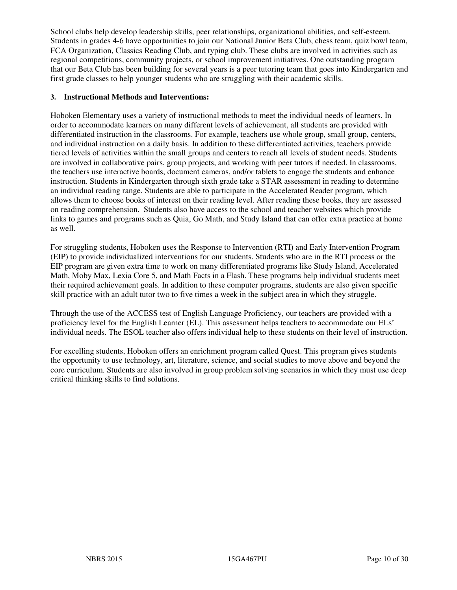School clubs help develop leadership skills, peer relationships, organizational abilities, and self-esteem. Students in grades 4-6 have opportunities to join our National Junior Beta Club, chess team, quiz bowl team, FCA Organization, Classics Reading Club, and typing club. These clubs are involved in activities such as regional competitions, community projects, or school improvement initiatives. One outstanding program that our Beta Club has been building for several years is a peer tutoring team that goes into Kindergarten and first grade classes to help younger students who are struggling with their academic skills.

#### **3. Instructional Methods and Interventions:**

Hoboken Elementary uses a variety of instructional methods to meet the individual needs of learners. In order to accommodate learners on many different levels of achievement, all students are provided with differentiated instruction in the classrooms. For example, teachers use whole group, small group, centers, and individual instruction on a daily basis. In addition to these differentiated activities, teachers provide tiered levels of activities within the small groups and centers to reach all levels of student needs. Students are involved in collaborative pairs, group projects, and working with peer tutors if needed. In classrooms, the teachers use interactive boards, document cameras, and/or tablets to engage the students and enhance instruction. Students in Kindergarten through sixth grade take a STAR assessment in reading to determine an individual reading range. Students are able to participate in the Accelerated Reader program, which allows them to choose books of interest on their reading level. After reading these books, they are assessed on reading comprehension. Students also have access to the school and teacher websites which provide links to games and programs such as Quia, Go Math, and Study Island that can offer extra practice at home as well.

For struggling students, Hoboken uses the Response to Intervention (RTI) and Early Intervention Program (EIP) to provide individualized interventions for our students. Students who are in the RTI process or the EIP program are given extra time to work on many differentiated programs like Study Island, Accelerated Math, Moby Max, Lexia Core 5, and Math Facts in a Flash. These programs help individual students meet their required achievement goals. In addition to these computer programs, students are also given specific skill practice with an adult tutor two to five times a week in the subject area in which they struggle.

Through the use of the ACCESS test of English Language Proficiency, our teachers are provided with a proficiency level for the English Learner (EL). This assessment helps teachers to accommodate our ELs' individual needs. The ESOL teacher also offers individual help to these students on their level of instruction.

For excelling students, Hoboken offers an enrichment program called Quest. This program gives students the opportunity to use technology, art, literature, science, and social studies to move above and beyond the core curriculum. Students are also involved in group problem solving scenarios in which they must use deep critical thinking skills to find solutions.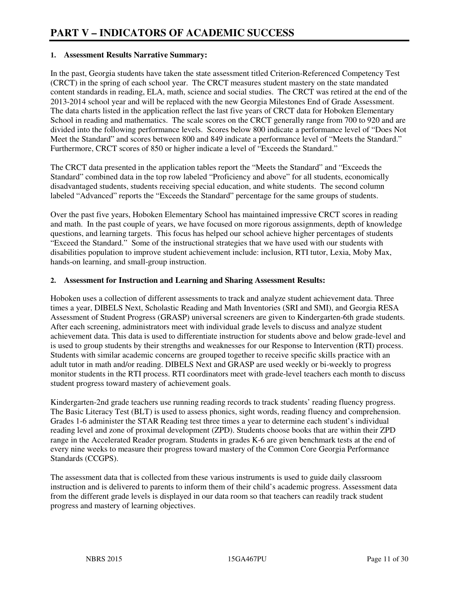#### **1. Assessment Results Narrative Summary:**

In the past, Georgia students have taken the state assessment titled Criterion-Referenced Competency Test (CRCT) in the spring of each school year. The CRCT measures student mastery on the state mandated content standards in reading, ELA, math, science and social studies. The CRCT was retired at the end of the 2013-2014 school year and will be replaced with the new Georgia Milestones End of Grade Assessment. The data charts listed in the application reflect the last five years of CRCT data for Hoboken Elementary School in reading and mathematics. The scale scores on the CRCT generally range from 700 to 920 and are divided into the following performance levels. Scores below 800 indicate a performance level of "Does Not Meet the Standard" and scores between 800 and 849 indicate a performance level of "Meets the Standard." Furthermore, CRCT scores of 850 or higher indicate a level of "Exceeds the Standard."

The CRCT data presented in the application tables report the "Meets the Standard" and "Exceeds the Standard" combined data in the top row labeled "Proficiency and above" for all students, economically disadvantaged students, students receiving special education, and white students. The second column labeled "Advanced" reports the "Exceeds the Standard" percentage for the same groups of students.

Over the past five years, Hoboken Elementary School has maintained impressive CRCT scores in reading and math. In the past couple of years, we have focused on more rigorous assignments, depth of knowledge questions, and learning targets. This focus has helped our school achieve higher percentages of students "Exceed the Standard." Some of the instructional strategies that we have used with our students with disabilities population to improve student achievement include: inclusion, RTI tutor, Lexia, Moby Max, hands-on learning, and small-group instruction.

#### **2. Assessment for Instruction and Learning and Sharing Assessment Results:**

Hoboken uses a collection of different assessments to track and analyze student achievement data. Three times a year, DIBELS Next, Scholastic Reading and Math Inventories (SRI and SMI), and Georgia RESA Assessment of Student Progress (GRASP) universal screeners are given to Kindergarten-6th grade students. After each screening, administrators meet with individual grade levels to discuss and analyze student achievement data. This data is used to differentiate instruction for students above and below grade-level and is used to group students by their strengths and weaknesses for our Response to Intervention (RTI) process. Students with similar academic concerns are grouped together to receive specific skills practice with an adult tutor in math and/or reading. DIBELS Next and GRASP are used weekly or bi-weekly to progress monitor students in the RTI process. RTI coordinators meet with grade-level teachers each month to discuss student progress toward mastery of achievement goals.

Kindergarten-2nd grade teachers use running reading records to track students' reading fluency progress. The Basic Literacy Test (BLT) is used to assess phonics, sight words, reading fluency and comprehension. Grades 1-6 administer the STAR Reading test three times a year to determine each student's individual reading level and zone of proximal development (ZPD). Students choose books that are within their ZPD range in the Accelerated Reader program. Students in grades K-6 are given benchmark tests at the end of every nine weeks to measure their progress toward mastery of the Common Core Georgia Performance Standards (CCGPS).

The assessment data that is collected from these various instruments is used to guide daily classroom instruction and is delivered to parents to inform them of their child's academic progress. Assessment data from the different grade levels is displayed in our data room so that teachers can readily track student progress and mastery of learning objectives.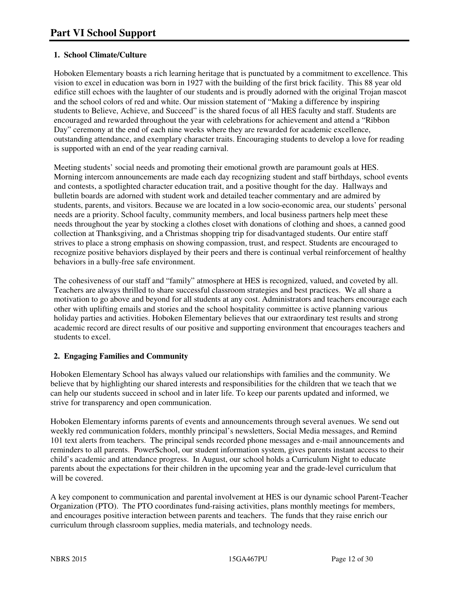### **1. School Climate/Culture**

Hoboken Elementary boasts a rich learning heritage that is punctuated by a commitment to excellence. This vision to excel in education was born in 1927 with the building of the first brick facility. This 88 year old edifice still echoes with the laughter of our students and is proudly adorned with the original Trojan mascot and the school colors of red and white. Our mission statement of "Making a difference by inspiring students to Believe, Achieve, and Succeed" is the shared focus of all HES faculty and staff. Students are encouraged and rewarded throughout the year with celebrations for achievement and attend a "Ribbon Day" ceremony at the end of each nine weeks where they are rewarded for academic excellence, outstanding attendance, and exemplary character traits. Encouraging students to develop a love for reading is supported with an end of the year reading carnival.

Meeting students' social needs and promoting their emotional growth are paramount goals at HES. Morning intercom announcements are made each day recognizing student and staff birthdays, school events and contests, a spotlighted character education trait, and a positive thought for the day. Hallways and bulletin boards are adorned with student work and detailed teacher commentary and are admired by students, parents, and visitors. Because we are located in a low socio-economic area, our students' personal needs are a priority. School faculty, community members, and local business partners help meet these needs throughout the year by stocking a clothes closet with donations of clothing and shoes, a canned good collection at Thanksgiving, and a Christmas shopping trip for disadvantaged students. Our entire staff strives to place a strong emphasis on showing compassion, trust, and respect. Students are encouraged to recognize positive behaviors displayed by their peers and there is continual verbal reinforcement of healthy behaviors in a bully-free safe environment.

The cohesiveness of our staff and "family" atmosphere at HES is recognized, valued, and coveted by all. Teachers are always thrilled to share successful classroom strategies and best practices. We all share a motivation to go above and beyond for all students at any cost. Administrators and teachers encourage each other with uplifting emails and stories and the school hospitality committee is active planning various holiday parties and activities. Hoboken Elementary believes that our extraordinary test results and strong academic record are direct results of our positive and supporting environment that encourages teachers and students to excel.

#### **2. Engaging Families and Community**

Hoboken Elementary School has always valued our relationships with families and the community. We believe that by highlighting our shared interests and responsibilities for the children that we teach that we can help our students succeed in school and in later life. To keep our parents updated and informed, we strive for transparency and open communication.

Hoboken Elementary informs parents of events and announcements through several avenues. We send out weekly red communication folders, monthly principal's newsletters, Social Media messages, and Remind 101 text alerts from teachers. The principal sends recorded phone messages and e-mail announcements and reminders to all parents. PowerSchool, our student information system, gives parents instant access to their child's academic and attendance progress. In August, our school holds a Curriculum Night to educate parents about the expectations for their children in the upcoming year and the grade-level curriculum that will be covered.

A key component to communication and parental involvement at HES is our dynamic school Parent-Teacher Organization (PTO). The PTO coordinates fund-raising activities, plans monthly meetings for members, and encourages positive interaction between parents and teachers. The funds that they raise enrich our curriculum through classroom supplies, media materials, and technology needs.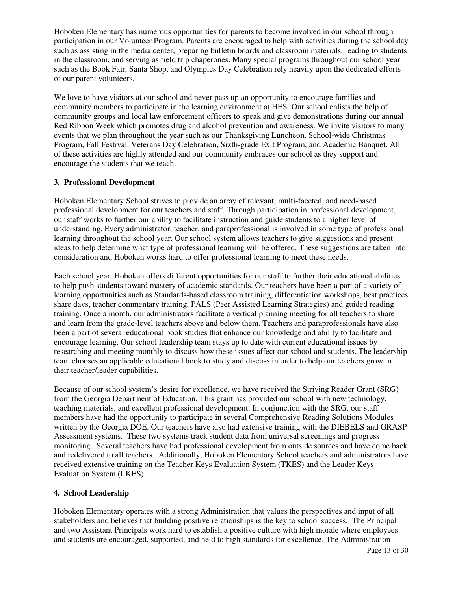Hoboken Elementary has numerous opportunities for parents to become involved in our school through participation in our Volunteer Program. Parents are encouraged to help with activities during the school day such as assisting in the media center, preparing bulletin boards and classroom materials, reading to students in the classroom, and serving as field trip chaperones. Many special programs throughout our school year such as the Book Fair, Santa Shop, and Olympics Day Celebration rely heavily upon the dedicated efforts of our parent volunteers.

We love to have visitors at our school and never pass up an opportunity to encourage families and community members to participate in the learning environment at HES. Our school enlists the help of community groups and local law enforcement officers to speak and give demonstrations during our annual Red Ribbon Week which promotes drug and alcohol prevention and awareness. We invite visitors to many events that we plan throughout the year such as our Thanksgiving Luncheon, School-wide Christmas Program, Fall Festival, Veterans Day Celebration, Sixth-grade Exit Program, and Academic Banquet. All of these activities are highly attended and our community embraces our school as they support and encourage the students that we teach.

#### **3. Professional Development**

Hoboken Elementary School strives to provide an array of relevant, multi-faceted, and need-based professional development for our teachers and staff. Through participation in professional development, our staff works to further our ability to facilitate instruction and guide students to a higher level of understanding. Every administrator, teacher, and paraprofessional is involved in some type of professional learning throughout the school year. Our school system allows teachers to give suggestions and present ideas to help determine what type of professional learning will be offered. These suggestions are taken into consideration and Hoboken works hard to offer professional learning to meet these needs.

Each school year, Hoboken offers different opportunities for our staff to further their educational abilities to help push students toward mastery of academic standards. Our teachers have been a part of a variety of learning opportunities such as Standards-based classroom training, differentiation workshops, best practices share days, teacher commentary training, PALS (Peer Assisted Learning Strategies) and guided reading training. Once a month, our administrators facilitate a vertical planning meeting for all teachers to share and learn from the grade-level teachers above and below them. Teachers and paraprofessionals have also been a part of several educational book studies that enhance our knowledge and ability to facilitate and encourage learning. Our school leadership team stays up to date with current educational issues by researching and meeting monthly to discuss how these issues affect our school and students. The leadership team chooses an applicable educational book to study and discuss in order to help our teachers grow in their teacher/leader capabilities.

Because of our school system's desire for excellence, we have received the Striving Reader Grant (SRG) from the Georgia Department of Education. This grant has provided our school with new technology, teaching materials, and excellent professional development. In conjunction with the SRG, our staff members have had the opportunity to participate in several Comprehensive Reading Solutions Modules written by the Georgia DOE. Our teachers have also had extensive training with the DIEBELS and GRASP Assessment systems. These two systems track student data from universal screenings and progress monitoring. Several teachers have had professional development from outside sources and have come back and redelivered to all teachers. Additionally, Hoboken Elementary School teachers and administrators have received extensive training on the Teacher Keys Evaluation System (TKES) and the Leader Keys Evaluation System (LKES).

#### **4. School Leadership**

Hoboken Elementary operates with a strong Administration that values the perspectives and input of all stakeholders and believes that building positive relationships is the key to school success. The Principal and two Assistant Principals work hard to establish a positive culture with high morale where employees and students are encouraged, supported, and held to high standards for excellence. The Administration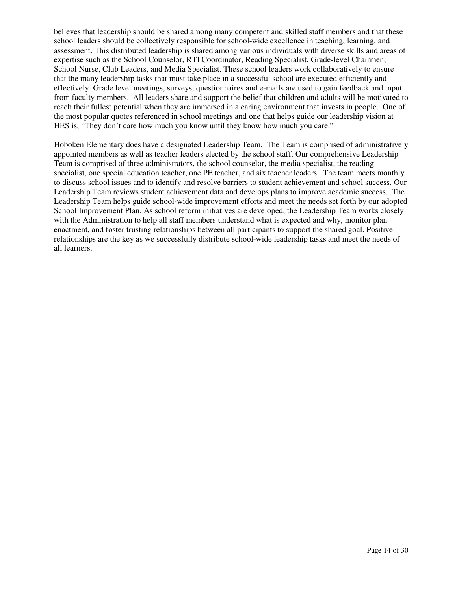believes that leadership should be shared among many competent and skilled staff members and that these school leaders should be collectively responsible for school-wide excellence in teaching, learning, and assessment. This distributed leadership is shared among various individuals with diverse skills and areas of expertise such as the School Counselor, RTI Coordinator, Reading Specialist, Grade-level Chairmen, School Nurse, Club Leaders, and Media Specialist. These school leaders work collaboratively to ensure that the many leadership tasks that must take place in a successful school are executed efficiently and effectively. Grade level meetings, surveys, questionnaires and e-mails are used to gain feedback and input from faculty members. All leaders share and support the belief that children and adults will be motivated to reach their fullest potential when they are immersed in a caring environment that invests in people. One of the most popular quotes referenced in school meetings and one that helps guide our leadership vision at HES is, "They don't care how much you know until they know how much you care."

Hoboken Elementary does have a designated Leadership Team. The Team is comprised of administratively appointed members as well as teacher leaders elected by the school staff. Our comprehensive Leadership Team is comprised of three administrators, the school counselor, the media specialist, the reading specialist, one special education teacher, one PE teacher, and six teacher leaders. The team meets monthly to discuss school issues and to identify and resolve barriers to student achievement and school success. Our Leadership Team reviews student achievement data and develops plans to improve academic success. The Leadership Team helps guide school-wide improvement efforts and meet the needs set forth by our adopted School Improvement Plan. As school reform initiatives are developed, the Leadership Team works closely with the Administration to help all staff members understand what is expected and why, monitor plan enactment, and foster trusting relationships between all participants to support the shared goal. Positive relationships are the key as we successfully distribute school-wide leadership tasks and meet the needs of all learners.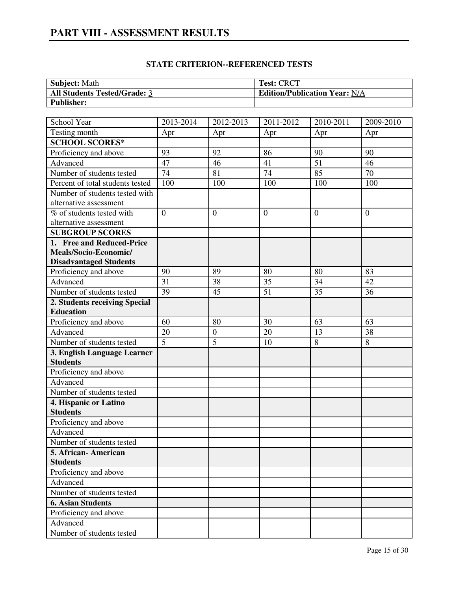# **PART VIII - ASSESSMENT RESULTS**

| <b>Subject:</b> Math                | <b>Test: CRCT</b>                    |
|-------------------------------------|--------------------------------------|
| <b>All Students Tested/Grade: 3</b> | <b>Edition/Publication Year: N/A</b> |
| <b>Publisher:</b>                   |                                      |

| School Year                       | 2013-2014      | 2012-2013        | 2011-2012      | 2010-2011      | 2009-2010      |
|-----------------------------------|----------------|------------------|----------------|----------------|----------------|
| Testing month                     | Apr            | Apr              | Apr            | Apr            | Apr            |
| <b>SCHOOL SCORES*</b>             |                |                  |                |                |                |
| Proficiency and above             | 93             | 92               | 86             | 90             | 90             |
| Advanced                          | 47             | 46               | 41             | 51             | 46             |
| Number of students tested         | 74             | 81               | 74             | 85             | 70             |
| Percent of total students tested  | 100            | 100              | 100            | 100            | 100            |
| Number of students tested with    |                |                  |                |                |                |
| alternative assessment            |                |                  |                |                |                |
| % of students tested with         | $\overline{0}$ | $\overline{0}$   | $\overline{0}$ | $\overline{0}$ | $\overline{0}$ |
| alternative assessment            |                |                  |                |                |                |
| <b>SUBGROUP SCORES</b>            |                |                  |                |                |                |
| 1. Free and Reduced-Price         |                |                  |                |                |                |
| Meals/Socio-Economic/             |                |                  |                |                |                |
| <b>Disadvantaged Students</b>     |                |                  |                |                |                |
| Proficiency and above             | 90             | 89               | 80             | 80             | 83             |
| Advanced                          | 31             | 38               | 35             | 34             | 42             |
| Number of students tested         | 39             | 45               | 51             | 35             | 36             |
| 2. Students receiving Special     |                |                  |                |                |                |
| <b>Education</b>                  |                |                  |                |                |                |
| Proficiency and above             | 60             | 80               | 30             | 63             | 63             |
| Advanced                          | 20             | $\boldsymbol{0}$ | 20             | 13             | 38             |
| Number of students tested         | $\overline{5}$ | 5                | 10             | 8              | 8              |
| 3. English Language Learner       |                |                  |                |                |                |
| <b>Students</b>                   |                |                  |                |                |                |
| Proficiency and above             |                |                  |                |                |                |
| Advanced                          |                |                  |                |                |                |
| Number of students tested         |                |                  |                |                |                |
| 4. Hispanic or Latino             |                |                  |                |                |                |
| <b>Students</b>                   |                |                  |                |                |                |
| Proficiency and above             |                |                  |                |                |                |
| Advanced                          |                |                  |                |                |                |
| Number of students tested         |                |                  |                |                |                |
| 5. African-American               |                |                  |                |                |                |
| <b>Students</b>                   |                |                  |                |                |                |
| Proficiency and above<br>Advanced |                |                  |                |                |                |
|                                   |                |                  |                |                |                |
| Number of students tested         |                |                  |                |                |                |
| <b>6. Asian Students</b>          |                |                  |                |                |                |
| Proficiency and above             |                |                  |                |                |                |
| Advanced                          |                |                  |                |                |                |
| Number of students tested         |                |                  |                |                |                |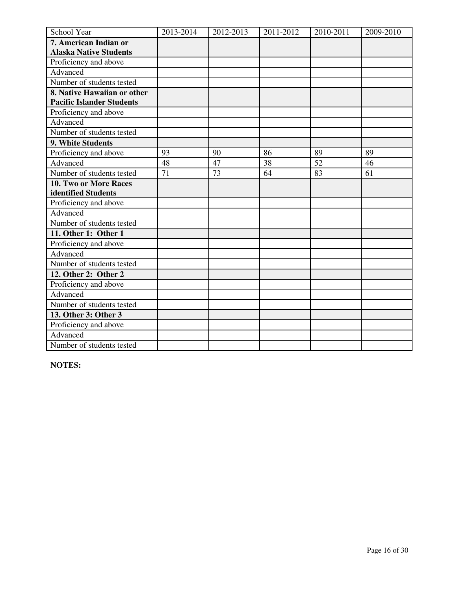| School Year                      | 2013-2014 | 2012-2013 | 2011-2012 | 2010-2011 | 2009-2010 |
|----------------------------------|-----------|-----------|-----------|-----------|-----------|
| 7. American Indian or            |           |           |           |           |           |
| <b>Alaska Native Students</b>    |           |           |           |           |           |
| Proficiency and above            |           |           |           |           |           |
| Advanced                         |           |           |           |           |           |
| Number of students tested        |           |           |           |           |           |
| 8. Native Hawaiian or other      |           |           |           |           |           |
| <b>Pacific Islander Students</b> |           |           |           |           |           |
| Proficiency and above            |           |           |           |           |           |
| Advanced                         |           |           |           |           |           |
| Number of students tested        |           |           |           |           |           |
| 9. White Students                |           |           |           |           |           |
| Proficiency and above            | 93        | 90        | 86        | 89        | 89        |
| Advanced                         | 48        | 47        | 38        | 52        | 46        |
| Number of students tested        | 71        | 73        | 64        | 83        | 61        |
| 10. Two or More Races            |           |           |           |           |           |
| identified Students              |           |           |           |           |           |
| Proficiency and above            |           |           |           |           |           |
| Advanced                         |           |           |           |           |           |
| Number of students tested        |           |           |           |           |           |
| 11. Other 1: Other 1             |           |           |           |           |           |
| Proficiency and above            |           |           |           |           |           |
| Advanced                         |           |           |           |           |           |
| Number of students tested        |           |           |           |           |           |
| 12. Other 2: Other 2             |           |           |           |           |           |
| Proficiency and above            |           |           |           |           |           |
| Advanced                         |           |           |           |           |           |
| Number of students tested        |           |           |           |           |           |
| 13. Other 3: Other 3             |           |           |           |           |           |
| Proficiency and above            |           |           |           |           |           |
| Advanced                         |           |           |           |           |           |
| Number of students tested        |           |           |           |           |           |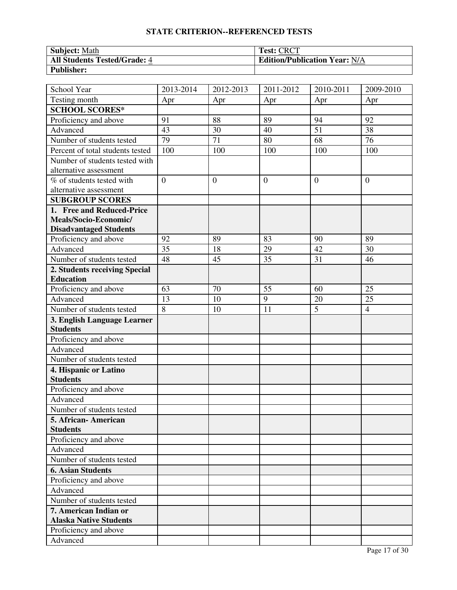| <b>Subject: Math</b>         | <b>Test: CRCT</b>                    |
|------------------------------|--------------------------------------|
| All Students Tested/Grade: 4 | <b>Edition/Publication Year: N/A</b> |
| <b>Publisher:</b>            |                                      |

| School Year                      | 2013-2014      | 2012-2013      | 2011-2012      | 2010-2011      | 2009-2010      |
|----------------------------------|----------------|----------------|----------------|----------------|----------------|
| Testing month                    | Apr            | Apr            | Apr            | Apr            | Apr            |
| <b>SCHOOL SCORES*</b>            |                |                |                |                |                |
| Proficiency and above            | 91             | 88             | 89             | 94             | 92             |
| Advanced                         | 43             | 30             | 40             | 51             | 38             |
| Number of students tested        | 79             | 71             | 80             | 68             | 76             |
| Percent of total students tested | 100            | 100            | 100            | 100            | 100            |
| Number of students tested with   |                |                |                |                |                |
| alternative assessment           |                |                |                |                |                |
| % of students tested with        | $\overline{0}$ | $\overline{0}$ | $\overline{0}$ | $\overline{0}$ | $\overline{0}$ |
| alternative assessment           |                |                |                |                |                |
| <b>SUBGROUP SCORES</b>           |                |                |                |                |                |
| 1. Free and Reduced-Price        |                |                |                |                |                |
| Meals/Socio-Economic/            |                |                |                |                |                |
| <b>Disadvantaged Students</b>    |                |                |                |                |                |
| Proficiency and above            | 92             | 89             | 83             | 90             | 89             |
| Advanced                         | 35             | 18             | 29             | 42             | 30             |
| Number of students tested        | 48             | 45             | 35             | 31             | 46             |
| 2. Students receiving Special    |                |                |                |                |                |
| <b>Education</b>                 |                |                |                |                |                |
| Proficiency and above            | 63             | 70             | 55             | 60             | 25             |
| Advanced                         | 13             | 10             | 9              | 20             | 25             |
| Number of students tested        | $\overline{8}$ | 10             | 11             | $\overline{5}$ | $\overline{4}$ |
| 3. English Language Learner      |                |                |                |                |                |
| <b>Students</b>                  |                |                |                |                |                |
| Proficiency and above            |                |                |                |                |                |
| Advanced                         |                |                |                |                |                |
| Number of students tested        |                |                |                |                |                |
| 4. Hispanic or Latino            |                |                |                |                |                |
| <b>Students</b>                  |                |                |                |                |                |
| Proficiency and above            |                |                |                |                |                |
| Advanced                         |                |                |                |                |                |
| Number of students tested        |                |                |                |                |                |
| 5. African- American             |                |                |                |                |                |
| <b>Students</b>                  |                |                |                |                |                |
| Proficiency and above            |                |                |                |                |                |
| Advanced                         |                |                |                |                |                |
| Number of students tested        |                |                |                |                |                |
| <b>6. Asian Students</b>         |                |                |                |                |                |
| Proficiency and above            |                |                |                |                |                |
| Advanced                         |                |                |                |                |                |
| Number of students tested        |                |                |                |                |                |
| 7. American Indian or            |                |                |                |                |                |
| <b>Alaska Native Students</b>    |                |                |                |                |                |
| Proficiency and above            |                |                |                |                |                |
| Advanced                         |                |                |                |                |                |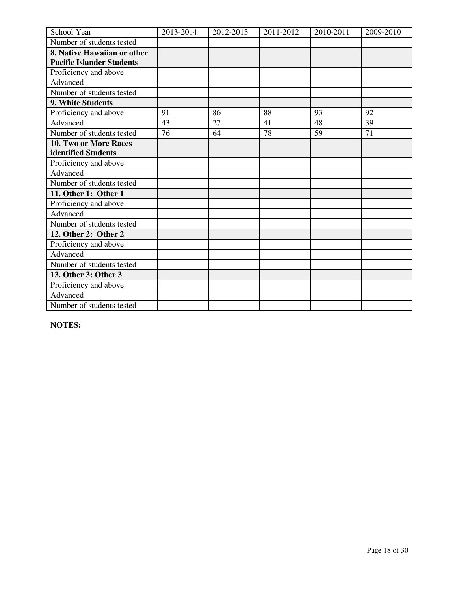| School Year                      | 2013-2014 | 2012-2013 | 2011-2012 | 2010-2011 | 2009-2010 |
|----------------------------------|-----------|-----------|-----------|-----------|-----------|
| Number of students tested        |           |           |           |           |           |
| 8. Native Hawaiian or other      |           |           |           |           |           |
| <b>Pacific Islander Students</b> |           |           |           |           |           |
| Proficiency and above            |           |           |           |           |           |
| Advanced                         |           |           |           |           |           |
| Number of students tested        |           |           |           |           |           |
| 9. White Students                |           |           |           |           |           |
| Proficiency and above            | 91        | 86        | 88        | 93        | 92        |
| Advanced                         | 43        | 27        | 41        | 48        | 39        |
| Number of students tested        | 76        | 64        | 78        | 59        | 71        |
| 10. Two or More Races            |           |           |           |           |           |
| identified Students              |           |           |           |           |           |
| Proficiency and above            |           |           |           |           |           |
| Advanced                         |           |           |           |           |           |
| Number of students tested        |           |           |           |           |           |
| 11. Other 1: Other 1             |           |           |           |           |           |
| Proficiency and above            |           |           |           |           |           |
| Advanced                         |           |           |           |           |           |
| Number of students tested        |           |           |           |           |           |
| 12. Other 2: Other 2             |           |           |           |           |           |
| Proficiency and above            |           |           |           |           |           |
| Advanced                         |           |           |           |           |           |
| Number of students tested        |           |           |           |           |           |
| 13. Other 3: Other 3             |           |           |           |           |           |
| Proficiency and above            |           |           |           |           |           |
| Advanced                         |           |           |           |           |           |
| Number of students tested        |           |           |           |           |           |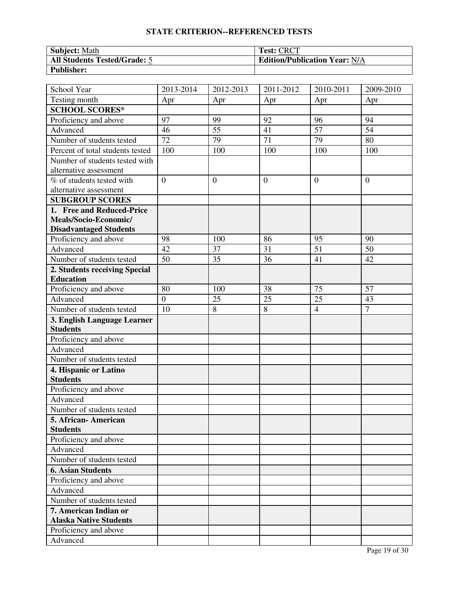| <b>Subject: Math</b>         | <b>Test: CRCT</b>                    |
|------------------------------|--------------------------------------|
| All Students Tested/Grade: 5 | <b>Edition/Publication Year: N/A</b> |
| <b>Publisher:</b>            |                                      |

| School Year                      | 2013-2014       | 2012-2013    | 2011-2012    | 2010-2011      | 2009-2010       |
|----------------------------------|-----------------|--------------|--------------|----------------|-----------------|
| Testing month                    | Apr             | Apr          | Apr          | Apr            | Apr             |
| <b>SCHOOL SCORES*</b>            |                 |              |              |                |                 |
| Proficiency and above            | 97              | 99           | 92           | 96             | 94              |
| Advanced                         | 46              | 55           | 41           | 57             | $\overline{54}$ |
| Number of students tested        | $\overline{72}$ | 79           | 71           | 79             | 80              |
| Percent of total students tested | 100             | 100          | 100          | 100            | 100             |
| Number of students tested with   |                 |              |              |                |                 |
| alternative assessment           |                 |              |              |                |                 |
| % of students tested with        | $\overline{0}$  | $\mathbf{0}$ | $\mathbf{0}$ | $\overline{0}$ | $\overline{0}$  |
| alternative assessment           |                 |              |              |                |                 |
| <b>SUBGROUP SCORES</b>           |                 |              |              |                |                 |
| 1. Free and Reduced-Price        |                 |              |              |                |                 |
| Meals/Socio-Economic/            |                 |              |              |                |                 |
| <b>Disadvantaged Students</b>    |                 |              |              |                |                 |
| Proficiency and above            | 98              | 100          | 86           | 95             | 90              |
| Advanced                         | 42              | 37           | 31           | 51             | 50              |
| Number of students tested        | 50              | 35           | 36           | 41             | 42              |
| 2. Students receiving Special    |                 |              |              |                |                 |
| <b>Education</b>                 |                 |              |              |                |                 |
| Proficiency and above            | 80              | 100          | 38           | 75             | 57              |
| Advanced                         | $\overline{0}$  | 25           | 25           | 25             | 43              |
| Number of students tested        | 10              | 8            | 8            | $\overline{4}$ | $\overline{7}$  |
| 3. English Language Learner      |                 |              |              |                |                 |
| <b>Students</b>                  |                 |              |              |                |                 |
| Proficiency and above            |                 |              |              |                |                 |
| Advanced                         |                 |              |              |                |                 |
| Number of students tested        |                 |              |              |                |                 |
| 4. Hispanic or Latino            |                 |              |              |                |                 |
| <b>Students</b>                  |                 |              |              |                |                 |
| Proficiency and above            |                 |              |              |                |                 |
| Advanced                         |                 |              |              |                |                 |
| Number of students tested        |                 |              |              |                |                 |
| 5. African-American              |                 |              |              |                |                 |
| <b>Students</b>                  |                 |              |              |                |                 |
| Proficiency and above            |                 |              |              |                |                 |
| Advanced                         |                 |              |              |                |                 |
| Number of students tested        |                 |              |              |                |                 |
| <b>6. Asian Students</b>         |                 |              |              |                |                 |
| Proficiency and above            |                 |              |              |                |                 |
| Advanced                         |                 |              |              |                |                 |
| Number of students tested        |                 |              |              |                |                 |
| 7. American Indian or            |                 |              |              |                |                 |
| <b>Alaska Native Students</b>    |                 |              |              |                |                 |
| Proficiency and above            |                 |              |              |                |                 |
| Advanced                         |                 |              |              |                |                 |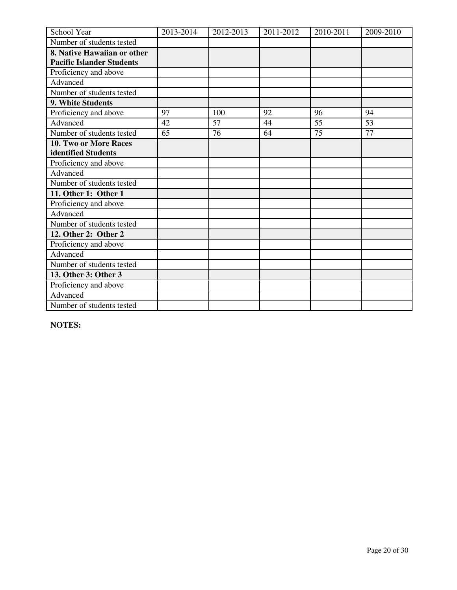| School Year                      | 2013-2014 | 2012-2013 | 2011-2012 | 2010-2011 | 2009-2010 |
|----------------------------------|-----------|-----------|-----------|-----------|-----------|
| Number of students tested        |           |           |           |           |           |
| 8. Native Hawaiian or other      |           |           |           |           |           |
| <b>Pacific Islander Students</b> |           |           |           |           |           |
| Proficiency and above            |           |           |           |           |           |
| Advanced                         |           |           |           |           |           |
| Number of students tested        |           |           |           |           |           |
| 9. White Students                |           |           |           |           |           |
| Proficiency and above            | 97        | 100       | 92        | 96        | 94        |
| Advanced                         | 42        | 57        | 44        | 55        | 53        |
| Number of students tested        | 65        | 76        | 64        | 75        | 77        |
| 10. Two or More Races            |           |           |           |           |           |
| identified Students              |           |           |           |           |           |
| Proficiency and above            |           |           |           |           |           |
| Advanced                         |           |           |           |           |           |
| Number of students tested        |           |           |           |           |           |
| 11. Other 1: Other 1             |           |           |           |           |           |
| Proficiency and above            |           |           |           |           |           |
| Advanced                         |           |           |           |           |           |
| Number of students tested        |           |           |           |           |           |
| 12. Other 2: Other 2             |           |           |           |           |           |
| Proficiency and above            |           |           |           |           |           |
| Advanced                         |           |           |           |           |           |
| Number of students tested        |           |           |           |           |           |
| 13. Other 3: Other 3             |           |           |           |           |           |
| Proficiency and above            |           |           |           |           |           |
| Advanced                         |           |           |           |           |           |
| Number of students tested        |           |           |           |           |           |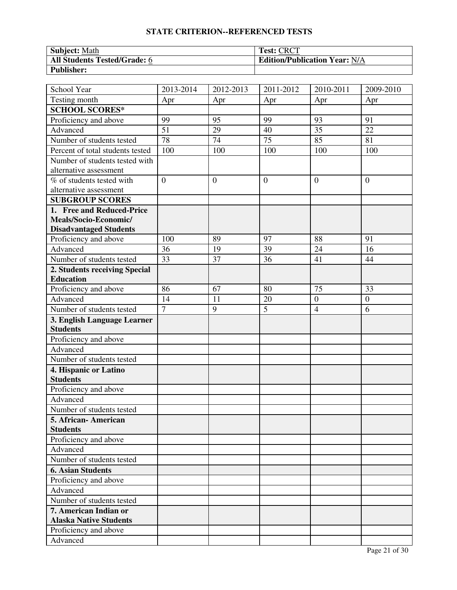| <b>Subject: Math</b>         | <b>Test: CRCT</b>                    |
|------------------------------|--------------------------------------|
| All Students Tested/Grade: 6 | <b>Edition/Publication Year: N/A</b> |
| <b>Publisher:</b>            |                                      |

| School Year                                    | 2013-2014      | 2012-2013      | 2011-2012       | 2010-2011        | 2009-2010        |
|------------------------------------------------|----------------|----------------|-----------------|------------------|------------------|
| Testing month                                  | Apr            | Apr            | Apr             | Apr              | Apr              |
| <b>SCHOOL SCORES*</b>                          |                |                |                 |                  |                  |
| Proficiency and above                          | 99             | 95             | 99              | 93               | 91               |
| Advanced                                       | 51             | 29             | 40              | 35               | 22               |
| Number of students tested                      | 78             | 74             | $\overline{75}$ | 85               | 81               |
| Percent of total students tested               | 100            | 100            | 100             | 100              | 100              |
| Number of students tested with                 |                |                |                 |                  |                  |
| alternative assessment                         |                |                |                 |                  |                  |
| % of students tested with                      | $\overline{0}$ | $\overline{0}$ | $\mathbf{0}$    | $\overline{0}$   | $\overline{0}$   |
| alternative assessment                         |                |                |                 |                  |                  |
| <b>SUBGROUP SCORES</b>                         |                |                |                 |                  |                  |
| 1. Free and Reduced-Price                      |                |                |                 |                  |                  |
| Meals/Socio-Economic/                          |                |                |                 |                  |                  |
| <b>Disadvantaged Students</b>                  |                |                |                 |                  |                  |
| Proficiency and above                          | 100            | 89             | 97              | 88               | 91               |
| Advanced                                       | 36             | 19             | 39              | 24               | 16               |
| Number of students tested                      | 33             | 37             | 36              | 41               | 44               |
| 2. Students receiving Special                  |                |                |                 |                  |                  |
| <b>Education</b>                               |                |                |                 |                  |                  |
| Proficiency and above                          | 86             | 67             | 80              | 75               | $\overline{33}$  |
| Advanced                                       | 14             | 11             | 20              | $\boldsymbol{0}$ | $\boldsymbol{0}$ |
| Number of students tested                      | $\overline{7}$ | 9              | 5               | $\overline{4}$   | 6                |
| 3. English Language Learner<br><b>Students</b> |                |                |                 |                  |                  |
| Proficiency and above                          |                |                |                 |                  |                  |
| Advanced                                       |                |                |                 |                  |                  |
| Number of students tested                      |                |                |                 |                  |                  |
| 4. Hispanic or Latino                          |                |                |                 |                  |                  |
| <b>Students</b>                                |                |                |                 |                  |                  |
| Proficiency and above                          |                |                |                 |                  |                  |
| Advanced                                       |                |                |                 |                  |                  |
| Number of students tested                      |                |                |                 |                  |                  |
| 5. African - American                          |                |                |                 |                  |                  |
| <b>Students</b>                                |                |                |                 |                  |                  |
| Proficiency and above                          |                |                |                 |                  |                  |
| Advanced                                       |                |                |                 |                  |                  |
| Number of students tested                      |                |                |                 |                  |                  |
| <b>6. Asian Students</b>                       |                |                |                 |                  |                  |
| Proficiency and above                          |                |                |                 |                  |                  |
| Advanced                                       |                |                |                 |                  |                  |
| Number of students tested                      |                |                |                 |                  |                  |
| 7. American Indian or                          |                |                |                 |                  |                  |
| <b>Alaska Native Students</b>                  |                |                |                 |                  |                  |
| Proficiency and above                          |                |                |                 |                  |                  |
| Advanced                                       |                |                |                 |                  |                  |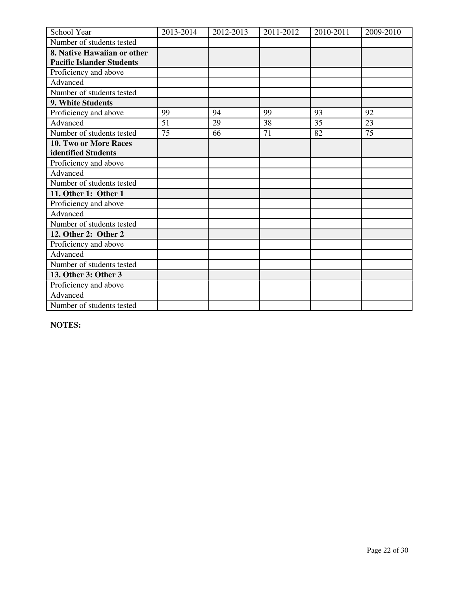| School Year                      | 2013-2014 | 2012-2013 | 2011-2012 | 2010-2011 | 2009-2010 |
|----------------------------------|-----------|-----------|-----------|-----------|-----------|
| Number of students tested        |           |           |           |           |           |
| 8. Native Hawaiian or other      |           |           |           |           |           |
| <b>Pacific Islander Students</b> |           |           |           |           |           |
| Proficiency and above            |           |           |           |           |           |
| Advanced                         |           |           |           |           |           |
| Number of students tested        |           |           |           |           |           |
| 9. White Students                |           |           |           |           |           |
| Proficiency and above            | 99        | 94        | 99        | 93        | 92        |
| Advanced                         | 51        | 29        | 38        | 35        | 23        |
| Number of students tested        | 75        | 66        | 71        | 82        | 75        |
| 10. Two or More Races            |           |           |           |           |           |
| identified Students              |           |           |           |           |           |
| Proficiency and above            |           |           |           |           |           |
| Advanced                         |           |           |           |           |           |
| Number of students tested        |           |           |           |           |           |
| 11. Other 1: Other 1             |           |           |           |           |           |
| Proficiency and above            |           |           |           |           |           |
| Advanced                         |           |           |           |           |           |
| Number of students tested        |           |           |           |           |           |
| 12. Other 2: Other 2             |           |           |           |           |           |
| Proficiency and above            |           |           |           |           |           |
| Advanced                         |           |           |           |           |           |
| Number of students tested        |           |           |           |           |           |
| 13. Other 3: Other 3             |           |           |           |           |           |
| Proficiency and above            |           |           |           |           |           |
| Advanced                         |           |           |           |           |           |
| Number of students tested        |           |           |           |           |           |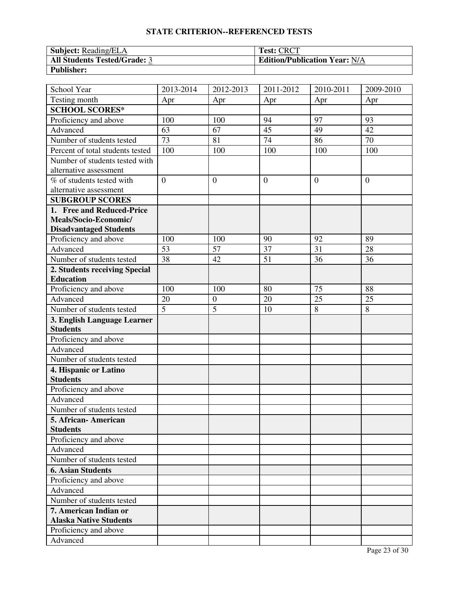| <sup>1</sup> Subject: Reading/ELA   | <b>Test: CRCT</b>                    |
|-------------------------------------|--------------------------------------|
| <b>All Students Tested/Grade: 3</b> | <b>Edition/Publication Year: N/A</b> |
| <b>Publisher:</b>                   |                                      |

| School Year                      | 2013-2014       | 2012-2013        | 2011-2012      | 2010-2011 | 2009-2010      |
|----------------------------------|-----------------|------------------|----------------|-----------|----------------|
| Testing month                    | Apr             | Apr              | Apr            | Apr       | Apr            |
| <b>SCHOOL SCORES*</b>            |                 |                  |                |           |                |
| Proficiency and above            | 100             | 100              | 94             | 97        | 93             |
| Advanced                         | 63              | 67               | 45             | 49        | 42             |
| Number of students tested        | $\overline{73}$ | 81               | 74             | 86        | 70             |
| Percent of total students tested | 100             | 100              | 100            | 100       | 100            |
| Number of students tested with   |                 |                  |                |           |                |
| alternative assessment           |                 |                  |                |           |                |
| % of students tested with        | $\overline{0}$  | $\overline{0}$   | $\overline{0}$ | $\theta$  | $\overline{0}$ |
| alternative assessment           |                 |                  |                |           |                |
| <b>SUBGROUP SCORES</b>           |                 |                  |                |           |                |
| 1. Free and Reduced-Price        |                 |                  |                |           |                |
| Meals/Socio-Economic/            |                 |                  |                |           |                |
| <b>Disadvantaged Students</b>    |                 |                  |                |           |                |
| Proficiency and above            | 100             | 100              | 90             | 92        | 89             |
| Advanced                         | 53              | 57               | 37             | 31        | 28             |
| Number of students tested        | 38              | 42               | 51             | 36        | 36             |
| 2. Students receiving Special    |                 |                  |                |           |                |
| <b>Education</b>                 |                 |                  |                |           |                |
| Proficiency and above            | 100             | 100              | 80             | 75        | 88             |
| Advanced                         | 20              | $\boldsymbol{0}$ | 20             | 25        | 25             |
| Number of students tested        | $\overline{5}$  | $\overline{5}$   | 10             | 8         | 8              |
| 3. English Language Learner      |                 |                  |                |           |                |
| <b>Students</b>                  |                 |                  |                |           |                |
| Proficiency and above            |                 |                  |                |           |                |
| Advanced                         |                 |                  |                |           |                |
| Number of students tested        |                 |                  |                |           |                |
| 4. Hispanic or Latino            |                 |                  |                |           |                |
| <b>Students</b>                  |                 |                  |                |           |                |
| Proficiency and above            |                 |                  |                |           |                |
| Advanced                         |                 |                  |                |           |                |
| Number of students tested        |                 |                  |                |           |                |
| 5. African- American             |                 |                  |                |           |                |
| <b>Students</b>                  |                 |                  |                |           |                |
| Proficiency and above            |                 |                  |                |           |                |
| Advanced                         |                 |                  |                |           |                |
| Number of students tested        |                 |                  |                |           |                |
| <b>6. Asian Students</b>         |                 |                  |                |           |                |
| Proficiency and above            |                 |                  |                |           |                |
| Advanced                         |                 |                  |                |           |                |
| Number of students tested        |                 |                  |                |           |                |
| 7. American Indian or            |                 |                  |                |           |                |
| <b>Alaska Native Students</b>    |                 |                  |                |           |                |
| Proficiency and above            |                 |                  |                |           |                |
| Advanced                         |                 |                  |                |           |                |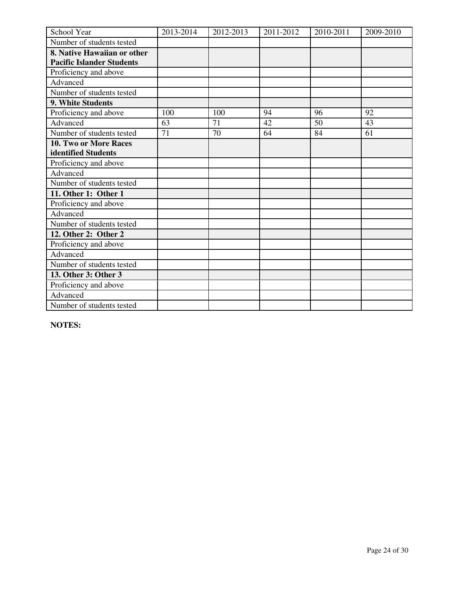| School Year                      | 2013-2014 | 2012-2013 | 2011-2012 | 2010-2011 | 2009-2010 |
|----------------------------------|-----------|-----------|-----------|-----------|-----------|
| Number of students tested        |           |           |           |           |           |
| 8. Native Hawaiian or other      |           |           |           |           |           |
| <b>Pacific Islander Students</b> |           |           |           |           |           |
| Proficiency and above            |           |           |           |           |           |
| Advanced                         |           |           |           |           |           |
| Number of students tested        |           |           |           |           |           |
| 9. White Students                |           |           |           |           |           |
| Proficiency and above            | 100       | 100       | 94        | 96        | 92        |
| Advanced                         | 63        | 71        | 42        | 50        | 43        |
| Number of students tested        | 71        | 70        | 64        | 84        | 61        |
| 10. Two or More Races            |           |           |           |           |           |
| identified Students              |           |           |           |           |           |
| Proficiency and above            |           |           |           |           |           |
| Advanced                         |           |           |           |           |           |
| Number of students tested        |           |           |           |           |           |
| 11. Other 1: Other 1             |           |           |           |           |           |
| Proficiency and above            |           |           |           |           |           |
| Advanced                         |           |           |           |           |           |
| Number of students tested        |           |           |           |           |           |
| 12. Other 2: Other 2             |           |           |           |           |           |
| Proficiency and above            |           |           |           |           |           |
| Advanced                         |           |           |           |           |           |
| Number of students tested        |           |           |           |           |           |
| 13. Other 3: Other 3             |           |           |           |           |           |
| Proficiency and above            |           |           |           |           |           |
| Advanced                         |           |           |           |           |           |
| Number of students tested        |           |           |           |           |           |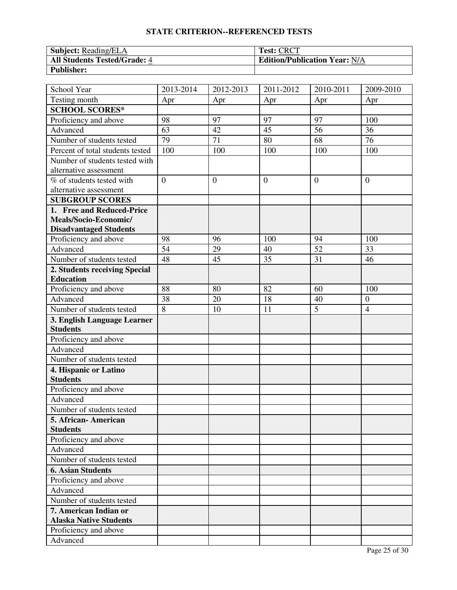| Subject: Reading/ELA                | <b>Test: CRCT</b>                    |
|-------------------------------------|--------------------------------------|
| <b>All Students Tested/Grade: 4</b> | <b>Edition/Publication Year: N/A</b> |
| <b>Publisher:</b>                   |                                      |

| School Year                      | 2013-2014       | 2012-2013      | 2011-2012      | 2010-2011       | 2009-2010      |
|----------------------------------|-----------------|----------------|----------------|-----------------|----------------|
| Testing month                    | Apr             | Apr            | Apr            | Apr             | Apr            |
| <b>SCHOOL SCORES*</b>            |                 |                |                |                 |                |
| Proficiency and above            | 98              | 97             | 97             | 97              | 100            |
| Advanced                         | 63              | 42             | 45             | 56              | 36             |
| Number of students tested        | 79              | 71             | 80             | 68              | 76             |
| Percent of total students tested | 100             | 100            | 100            | 100             | 100            |
| Number of students tested with   |                 |                |                |                 |                |
| alternative assessment           |                 |                |                |                 |                |
| % of students tested with        | $\overline{0}$  | $\overline{0}$ | $\overline{0}$ | $\theta$        | $\overline{0}$ |
| alternative assessment           |                 |                |                |                 |                |
| <b>SUBGROUP SCORES</b>           |                 |                |                |                 |                |
| 1. Free and Reduced-Price        |                 |                |                |                 |                |
| Meals/Socio-Economic/            |                 |                |                |                 |                |
| <b>Disadvantaged Students</b>    |                 |                |                |                 |                |
| Proficiency and above            | 98              | 96             | 100            | 94              | 100            |
| Advanced                         | $\overline{54}$ | 29             | 40             | $\overline{52}$ | 33             |
| Number of students tested        | 48              | 45             | 35             | 31              | 46             |
| 2. Students receiving Special    |                 |                |                |                 |                |
| <b>Education</b>                 |                 |                |                |                 |                |
| Proficiency and above            | 88              | 80             | 82             | 60              | 100            |
| Advanced                         | 38              | 20             | 18             | 40              | $\overline{0}$ |
| Number of students tested        | $\overline{8}$  | 10             | 11             | $\overline{5}$  | $\overline{4}$ |
| 3. English Language Learner      |                 |                |                |                 |                |
| <b>Students</b>                  |                 |                |                |                 |                |
| Proficiency and above            |                 |                |                |                 |                |
| Advanced                         |                 |                |                |                 |                |
| Number of students tested        |                 |                |                |                 |                |
| 4. Hispanic or Latino            |                 |                |                |                 |                |
| <b>Students</b>                  |                 |                |                |                 |                |
| Proficiency and above            |                 |                |                |                 |                |
| Advanced                         |                 |                |                |                 |                |
| Number of students tested        |                 |                |                |                 |                |
| 5. African- American             |                 |                |                |                 |                |
| <b>Students</b>                  |                 |                |                |                 |                |
| Proficiency and above            |                 |                |                |                 |                |
| Advanced                         |                 |                |                |                 |                |
| Number of students tested        |                 |                |                |                 |                |
| <b>6. Asian Students</b>         |                 |                |                |                 |                |
| Proficiency and above            |                 |                |                |                 |                |
| Advanced                         |                 |                |                |                 |                |
| Number of students tested        |                 |                |                |                 |                |
| 7. American Indian or            |                 |                |                |                 |                |
| <b>Alaska Native Students</b>    |                 |                |                |                 |                |
| Proficiency and above            |                 |                |                |                 |                |
| Advanced                         |                 |                |                |                 |                |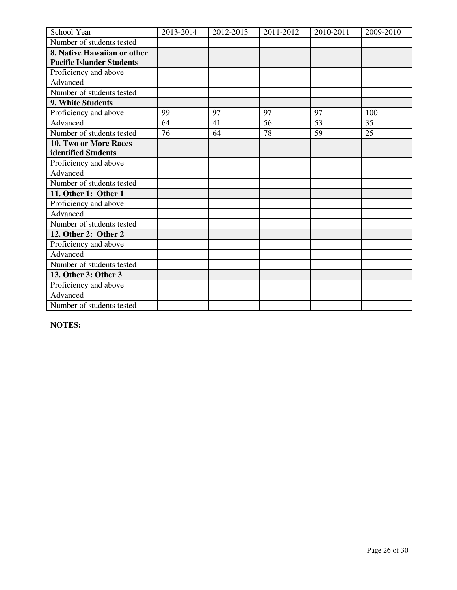| School Year                      | 2013-2014 | 2012-2013 | 2011-2012 | 2010-2011 | 2009-2010 |
|----------------------------------|-----------|-----------|-----------|-----------|-----------|
| Number of students tested        |           |           |           |           |           |
| 8. Native Hawaiian or other      |           |           |           |           |           |
| <b>Pacific Islander Students</b> |           |           |           |           |           |
| Proficiency and above            |           |           |           |           |           |
| Advanced                         |           |           |           |           |           |
| Number of students tested        |           |           |           |           |           |
| 9. White Students                |           |           |           |           |           |
| Proficiency and above            | 99        | 97        | 97        | 97        | 100       |
| Advanced                         | 64        | 41        | 56        | 53        | 35        |
| Number of students tested        | 76        | 64        | 78        | 59        | 25        |
| 10. Two or More Races            |           |           |           |           |           |
| identified Students              |           |           |           |           |           |
| Proficiency and above            |           |           |           |           |           |
| Advanced                         |           |           |           |           |           |
| Number of students tested        |           |           |           |           |           |
| 11. Other 1: Other 1             |           |           |           |           |           |
| Proficiency and above            |           |           |           |           |           |
| Advanced                         |           |           |           |           |           |
| Number of students tested        |           |           |           |           |           |
| 12. Other 2: Other 2             |           |           |           |           |           |
| Proficiency and above            |           |           |           |           |           |
| Advanced                         |           |           |           |           |           |
| Number of students tested        |           |           |           |           |           |
| 13. Other 3: Other 3             |           |           |           |           |           |
| Proficiency and above            |           |           |           |           |           |
| Advanced                         |           |           |           |           |           |
| Number of students tested        |           |           |           |           |           |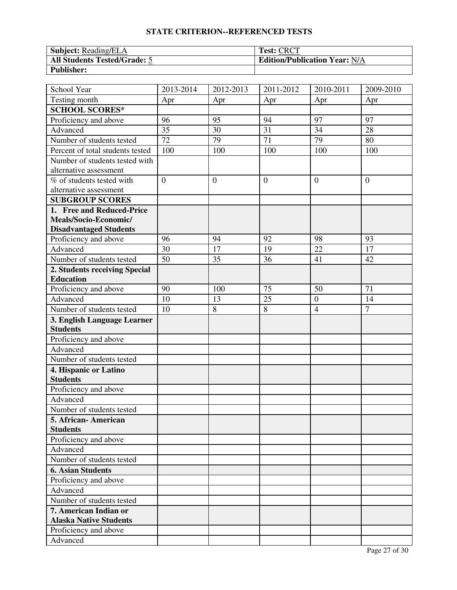| <b>Subject:</b> Reading/ELA         | <b>Test: CRCT</b>                    |
|-------------------------------------|--------------------------------------|
| <b>All Students Tested/Grade: 5</b> | <b>Edition/Publication Year: N/A</b> |
| <b>Publisher:</b>                   |                                      |

| School Year                      | 2013-2014       | 2012-2013      | 2011-2012       | 2010-2011        | 2009-2010      |
|----------------------------------|-----------------|----------------|-----------------|------------------|----------------|
| Testing month                    | Apr             | Apr            | Apr             | Apr              | Apr            |
| <b>SCHOOL SCORES*</b>            |                 |                |                 |                  |                |
| Proficiency and above            | 96              | 95             | 94              | 97               | 97             |
| Advanced                         | 35              | 30             | 31              | 34               | 28             |
| Number of students tested        | $\overline{72}$ | 79             | $\overline{71}$ | $\overline{79}$  | 80             |
| Percent of total students tested | 100             | 100            | 100             | 100              | 100            |
| Number of students tested with   |                 |                |                 |                  |                |
| alternative assessment           |                 |                |                 |                  |                |
| % of students tested with        | $\overline{0}$  | $\overline{0}$ | $\overline{0}$  | $\overline{0}$   | $\overline{0}$ |
| alternative assessment           |                 |                |                 |                  |                |
| <b>SUBGROUP SCORES</b>           |                 |                |                 |                  |                |
| 1. Free and Reduced-Price        |                 |                |                 |                  |                |
| Meals/Socio-Economic/            |                 |                |                 |                  |                |
| <b>Disadvantaged Students</b>    |                 |                |                 |                  |                |
| Proficiency and above            | 96              | 94             | 92              | 98               | 93             |
| Advanced                         | 30              | 17             | 19              | 22               | 17             |
| Number of students tested        | 50              | 35             | 36              | 41               | 42             |
| 2. Students receiving Special    |                 |                |                 |                  |                |
| <b>Education</b>                 |                 |                |                 |                  |                |
| Proficiency and above            | 90              | 100            | 75              | 50               | 71             |
| Advanced                         | 10              | 13             | 25              | $\boldsymbol{0}$ | 14             |
| Number of students tested        | 10              | 8              | 8               | $\overline{4}$   | $\overline{7}$ |
| 3. English Language Learner      |                 |                |                 |                  |                |
| <b>Students</b>                  |                 |                |                 |                  |                |
| Proficiency and above            |                 |                |                 |                  |                |
| Advanced                         |                 |                |                 |                  |                |
| Number of students tested        |                 |                |                 |                  |                |
| 4. Hispanic or Latino            |                 |                |                 |                  |                |
| <b>Students</b>                  |                 |                |                 |                  |                |
| Proficiency and above            |                 |                |                 |                  |                |
| Advanced                         |                 |                |                 |                  |                |
| Number of students tested        |                 |                |                 |                  |                |
| 5. African- American             |                 |                |                 |                  |                |
| <b>Students</b>                  |                 |                |                 |                  |                |
| Proficiency and above            |                 |                |                 |                  |                |
| Advanced                         |                 |                |                 |                  |                |
| Number of students tested        |                 |                |                 |                  |                |
| <b>6. Asian Students</b>         |                 |                |                 |                  |                |
| Proficiency and above            |                 |                |                 |                  |                |
| Advanced                         |                 |                |                 |                  |                |
| Number of students tested        |                 |                |                 |                  |                |
| 7. American Indian or            |                 |                |                 |                  |                |
| <b>Alaska Native Students</b>    |                 |                |                 |                  |                |
| Proficiency and above            |                 |                |                 |                  |                |
| Advanced                         |                 |                |                 |                  |                |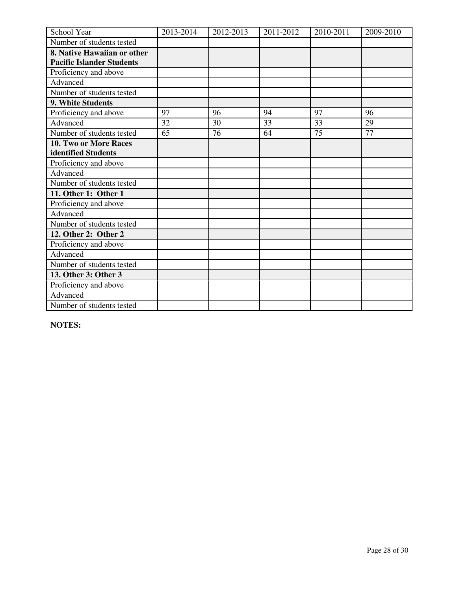| School Year                      | 2013-2014 | 2012-2013 | 2011-2012 | 2010-2011 | 2009-2010 |
|----------------------------------|-----------|-----------|-----------|-----------|-----------|
| Number of students tested        |           |           |           |           |           |
| 8. Native Hawaiian or other      |           |           |           |           |           |
| <b>Pacific Islander Students</b> |           |           |           |           |           |
| Proficiency and above            |           |           |           |           |           |
| Advanced                         |           |           |           |           |           |
| Number of students tested        |           |           |           |           |           |
| 9. White Students                |           |           |           |           |           |
| Proficiency and above            | 97        | 96        | 94        | 97        | 96        |
| Advanced                         | 32        | 30        | 33        | 33        | 29        |
| Number of students tested        | 65        | 76        | 64        | 75        | 77        |
| 10. Two or More Races            |           |           |           |           |           |
| identified Students              |           |           |           |           |           |
| Proficiency and above            |           |           |           |           |           |
| Advanced                         |           |           |           |           |           |
| Number of students tested        |           |           |           |           |           |
| 11. Other 1: Other 1             |           |           |           |           |           |
| Proficiency and above            |           |           |           |           |           |
| Advanced                         |           |           |           |           |           |
| Number of students tested        |           |           |           |           |           |
| 12. Other 2: Other 2             |           |           |           |           |           |
| Proficiency and above            |           |           |           |           |           |
| Advanced                         |           |           |           |           |           |
| Number of students tested        |           |           |           |           |           |
| 13. Other 3: Other 3             |           |           |           |           |           |
| Proficiency and above            |           |           |           |           |           |
| Advanced                         |           |           |           |           |           |
| Number of students tested        |           |           |           |           |           |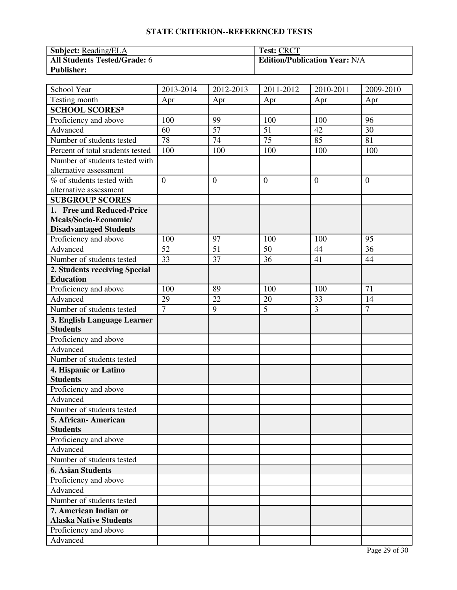| <b>Subject:</b> Reading/ELA  | <b>Test: CRCT</b>                    |
|------------------------------|--------------------------------------|
| All Students Tested/Grade: 6 | <b>Edition/Publication Year: N/A</b> |
| <b>Publisher:</b>            |                                      |

| School Year                      | 2013-2014       | 2012-2013      | 2011-2012       | 2010-2011      | 2009-2010       |
|----------------------------------|-----------------|----------------|-----------------|----------------|-----------------|
| Testing month                    | Apr             | Apr            | Apr             | Apr            | Apr             |
| <b>SCHOOL SCORES*</b>            |                 |                |                 |                |                 |
| Proficiency and above            | 100             | 99             | 100             | 100            | 96              |
| Advanced                         | 60              | 57             | 51              | 42             | 30              |
| Number of students tested        | $\overline{78}$ | 74             | $\overline{75}$ | 85             | 81              |
| Percent of total students tested | 100             | 100            | 100             | 100            | 100             |
| Number of students tested with   |                 |                |                 |                |                 |
| alternative assessment           |                 |                |                 |                |                 |
| % of students tested with        | $\overline{0}$  | $\overline{0}$ | $\overline{0}$  | $\theta$       | $\overline{0}$  |
| alternative assessment           |                 |                |                 |                |                 |
| <b>SUBGROUP SCORES</b>           |                 |                |                 |                |                 |
| 1. Free and Reduced-Price        |                 |                |                 |                |                 |
| Meals/Socio-Economic/            |                 |                |                 |                |                 |
| <b>Disadvantaged Students</b>    |                 |                |                 |                |                 |
| Proficiency and above            | 100             | 97             | 100             | 100            | 95              |
| Advanced                         | 52              | 51             | 50              | 44             | $\overline{36}$ |
| Number of students tested        | 33              | 37             | 36              | 41             | 44              |
| 2. Students receiving Special    |                 |                |                 |                |                 |
| <b>Education</b>                 |                 |                |                 |                |                 |
| Proficiency and above            | 100             | 89             | 100             | 100            | 71              |
| Advanced                         | 29              | 22             | 20              | 33             | 14              |
| Number of students tested        | $\overline{7}$  | 9              | $\overline{5}$  | $\overline{3}$ | $\overline{7}$  |
| 3. English Language Learner      |                 |                |                 |                |                 |
| <b>Students</b>                  |                 |                |                 |                |                 |
| Proficiency and above            |                 |                |                 |                |                 |
| Advanced                         |                 |                |                 |                |                 |
| Number of students tested        |                 |                |                 |                |                 |
| 4. Hispanic or Latino            |                 |                |                 |                |                 |
| <b>Students</b>                  |                 |                |                 |                |                 |
| Proficiency and above            |                 |                |                 |                |                 |
| Advanced                         |                 |                |                 |                |                 |
| Number of students tested        |                 |                |                 |                |                 |
| 5. African- American             |                 |                |                 |                |                 |
| <b>Students</b>                  |                 |                |                 |                |                 |
| Proficiency and above            |                 |                |                 |                |                 |
| Advanced                         |                 |                |                 |                |                 |
| Number of students tested        |                 |                |                 |                |                 |
| <b>6. Asian Students</b>         |                 |                |                 |                |                 |
| Proficiency and above            |                 |                |                 |                |                 |
| Advanced                         |                 |                |                 |                |                 |
| Number of students tested        |                 |                |                 |                |                 |
| 7. American Indian or            |                 |                |                 |                |                 |
| <b>Alaska Native Students</b>    |                 |                |                 |                |                 |
| Proficiency and above            |                 |                |                 |                |                 |
| Advanced                         |                 |                |                 |                |                 |